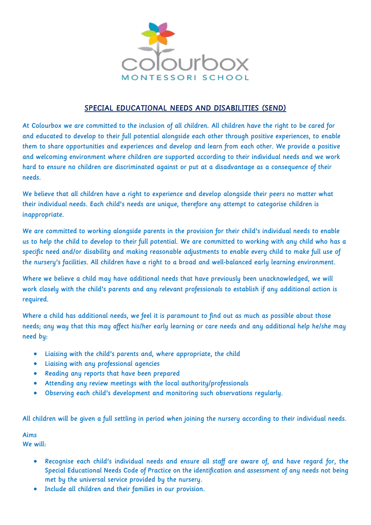

# SPECIAL EDUCATIONAL NEEDS AND DISABILITIES (SEND)

At Colourbox we are committed to the inclusion of all children. All children have the right to be cared for and educated to develop to their full potential alongside each other through positive experiences, to enable them to share opportunities and experiences and develop and learn from each other. We provide a positive and welcoming environment where children are supported according to their individual needs and we work hard to ensure no children are discriminated against or put at a disadvantage as a consequence of their needs.

We believe that all children have a right to experience and develop alongside their peers no matter what their individual needs. Each child's needs are unique, therefore any attempt to categorise children is inappropriate.

We are committed to working alongside parents in the provision for their child's individual needs to enable us to help the child to develop to their full potential. We are committed to working with any child who has a specific need and/or disability and making reasonable adjustments to enable every child to make full use of the nursery's facilities. All children have a right to a broad and well-balanced early learning environment.

Where we believe a child may have additional needs that have previously been unacknowledged, we will work closely with the child's parents and any relevant professionals to establish if any additional action is required.

Where a child has additional needs, we feel it is paramount to find out as much as possible about those needs; any way that this may affect his/her early learning or care needs and any additional help he/she may need by:

- Liaising with the child's parents and, where appropriate, the child
- Liaising with any professional agencies
- Reading any reports that have been prepared
- Attending any review meetings with the local authority/professionals
- Observing each child's development and monitoring such observations regularly.

All children will be given a full settling in period when joining the nursery according to their individual needs.

### Aims

We will:

- Recognise each child's individual needs and ensure all staff are aware of, and have regard for, the Special Educational Needs Code of Practice on the identification and assessment of any needs not being met by the universal service provided by the nursery.
- Include all children and their families in our provision.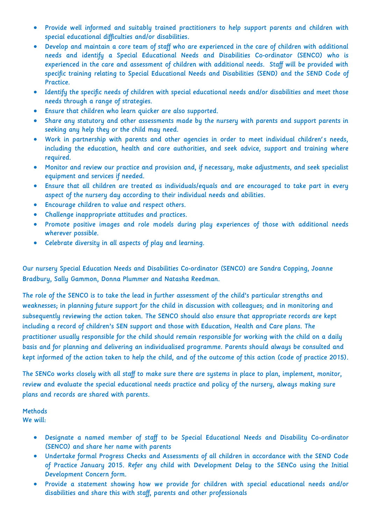- Provide well informed and suitably trained practitioners to help support parents and children with special educational difficulties and/or disabilities.
- Develop and maintain a core team of staff who are experienced in the care of children with additional needs and identify a Special Educational Needs and Disabilities Co-ordinator (SENCO) who is experienced in the care and assessment of children with additional needs. Staff will be provided with specific training relating to Special Educational Needs and Disabilities (SEND) and the SEND Code of Practice.
- Identify the specific needs of children with special educational needs and/or disabilities and meet those needs through a range of strategies.
- Ensure that children who learn quicker are also supported.
- Share any statutory and other assessments made by the nursery with parents and support parents in seeking any help they or the child may need.
- Work in partnership with parents and other agencies in order to meet individual children's needs, including the education, health and care authorities, and seek advice, support and training where required.
- Monitor and review our practice and provision and, if necessary, make adjustments, and seek specialist equipment and services if needed.
- Ensure that all children are treated as individuals/equals and are encouraged to take part in every aspect of the nursery day according to their individual needs and abilities.
- Encourage children to value and respect others.
- Challenge inappropriate attitudes and practices.
- Promote positive images and role models during play experiences of those with additional needs wherever possible.
- Celebrate diversity in all aspects of play and learning.

Our nursery Special Education Needs and Disabilities Co-ordinator (SENCO) are Sandra Copping, Joanne Bradbury, Sally Gammon, Donna Plummer and Natasha Reedman.

The role of the SENCO is to take the lead in further assessment of the child's particular strengths and weaknesses; in planning future support for the child in discussion with colleagues; and in monitoring and subsequently reviewing the action taken. The SENCO should also ensure that appropriate records are kept including a record of children's SEN support and those with Education, Health and Care plans. The practitioner usually responsible for the child should remain responsible for working with the child on a daily basis and for planning and delivering an individualised programme. Parents should always be consulted and kept informed of the action taken to help the child, and of the outcome of this action (code of practice 2015).

The SENCo works closely with all staff to make sure there are systems in place to plan, implement, monitor, review and evaluate the special educational needs practice and policy of the nursery, always making sure plans and records are shared with parents.

Methods We will:

- Designate a named member of staff to be Special Educational Needs and Disability Co-ordinator (SENCO) and share her name with parents
- Undertake formal Progress Checks and Assessments of all children in accordance with the SEND Code of Practice January 2015. Refer any child with Development Delay to the SENCo using the Initial Development Concern form.
- Provide a statement showing how we provide for children with special educational needs and/or disabilities and share this with staff, parents and other professionals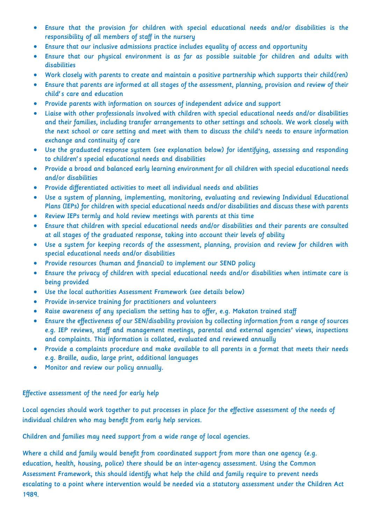- Ensure that the provision for children with special educational needs and/or disabilities is the responsibility of all members of staff in the nursery
- Ensure that our inclusive admissions practice includes equality of access and opportunity
- Ensure that our physical environment is as far as possible suitable for children and adults with disabilities
- Work closely with parents to create and maintain a positive partnership which supports their child(ren)
- Ensure that parents are informed at all stages of the assessment, planning, provision and review of their child's care and education
- Provide parents with information on sources of independent advice and support
- Liaise with other professionals involved with children with special educational needs and/or disabilities and their families, including transfer arrangements to other settings and schools. We work closely with the next school or care setting and meet with them to discuss the child's needs to ensure information exchange and continuity of care
- Use the graduated response system (see explanation below) for identifying, assessing and responding to children's special educational needs and disabilities
- Provide a broad and balanced early learning environment for all children with special educational needs and/or disabilities
- Provide differentiated activities to meet all individual needs and abilities
- Use a system of planning, implementing, monitoring, evaluating and reviewing Individual Educational Plans (IEPs) for children with special educational needs and/or disabilities and discuss these with parents
- Review IEPs termly and hold review meetings with parents at this time
- Ensure that children with special educational needs and/or disabilities and their parents are consulted at all stages of the graduated response, taking into account their levels of ability
- Use a system for keeping records of the assessment, planning, provision and review for children with special educational needs and/or disabilities
- Provide resources (human and financial) to implement our SEND policy
- Ensure the privacy of children with special educational needs and/or disabilities when intimate care is being provided
- Use the local authorities Assessment Framework (see details below)
- Provide in-service training for practitioners and volunteers
- Raise awareness of any specialism the setting has to offer, e.g. Makaton trained staff
- Ensure the effectiveness of our SEN/disability provision by collecting information from a range of sources e.g. IEP reviews, staff and management meetings, parental and external agencies' views, inspections and complaints. This information is collated, evaluated and reviewed annually
- Provide a complaints procedure and make available to all parents in a format that meets their needs e.g. Braille, audio, large print, additional languages
- Monitor and review our policy annually.

# Effective assessment of the need for early help

Local agencies should work together to put processes in place for the effective assessment of the needs of individual children who may benefit from early help services.

Children and families may need support from a wide range of local agencies.

Where a child and family would benefit from coordinated support from more than one agency (e.g. education, health, housing, police) there should be an inter-agency assessment. Using the Common Assessment Framework, this should identify what help the child and family require to prevent needs escalating to a point where intervention would be needed via a statutory assessment under the Children Act 1989.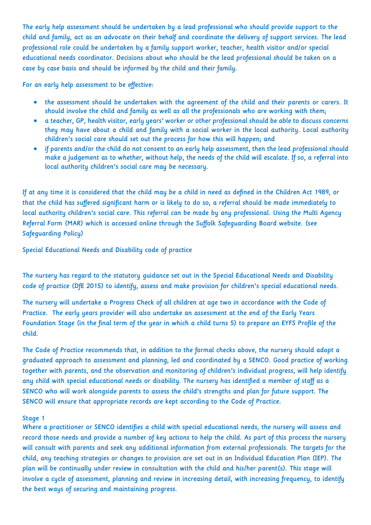The early help assessment should be undertaken by a lead professional who should provide support to the child and family, act as an advocate on their behalf and coordinate the delivery of support services. The lead professional role could be undertaken by a family support worker, teacher, health visitor and/or special educational needs coordinator. Decisions about who should be the lead professional should be taken on a case by case basis and should be informed by the child and their family.

For an early help assessment to be effective:

- the assessment should be undertaken with the agreement of the child and their parents or carers. It should involve the child and family as well as all the professionals who are working with them;
- a teacher, GP, health visitor, early years' worker or other professional should be able to discuss concerns they may have about a child and family with a social worker in the local authority. Local authority children's social care should set out the process for how this will happen; and
- if parents and/or the child do not consent to an early help assessment, then the lead professional should make a judgement as to whether, without help, the needs of the child will escalate. If so, a referral into local authority children's social care may be necessary.

If at any time it is considered that the child may be a child in need as defined in the Children Act 1989, or that the child has suffered significant harm or is likely to do so, a referral should be made immediately to local authority children's social care. This referral can be made by any professional. Using the Multi Agency Referral Form (MAR) which is accessed online through the Suffolk Safeguarding Board website. (see Safeguarding Policy)

Special Educational Needs and Disability code of practice

The nursery has regard to the statutory guidance set out in the Special Educational Needs and Disability code of practice (DfE 2015) to identify, assess and make provision for children's special educational needs.

The nursery will undertake a Progress Check of all children at age two in accordance with the Code of Practice. The early years provider will also undertake an assessment at the end of the Early Years Foundation Stage (in the final term of the year in which a child turns 5) to prepare an EYFS Profile of the child.

The Code of Practice recommends that, in addition to the formal checks above, the nursery should adopt a graduated approach to assessment and planning, led and coordinated by a SENCO. Good practice of working together with parents, and the observation and monitoring of children's individual progress, will help identify any child with special educational needs or disability. The nursery has identified a member of staff as a SENCO who will work alongside parents to assess the child's strengths and plan for future support. The SENCO will ensure that appropriate records are kept according to the Code of Practice.

#### Stage 1

Where a practitioner or SENCO identifies a child with special educational needs, the nursery will assess and record those needs and provide a number of key actions to help the child. As part of this process the nursery will consult with parents and seek any additional information from external professionals. The targets for the child, any teaching strategies or changes to provision are set out in an Individual Education Plan (IEP). The plan will be continually under review in consultation with the child and his/her parent(s). This stage will involve a cycle of assessment, planning and review in increasing detail, with increasing frequency, to identify the best ways of securing and maintaining progress.